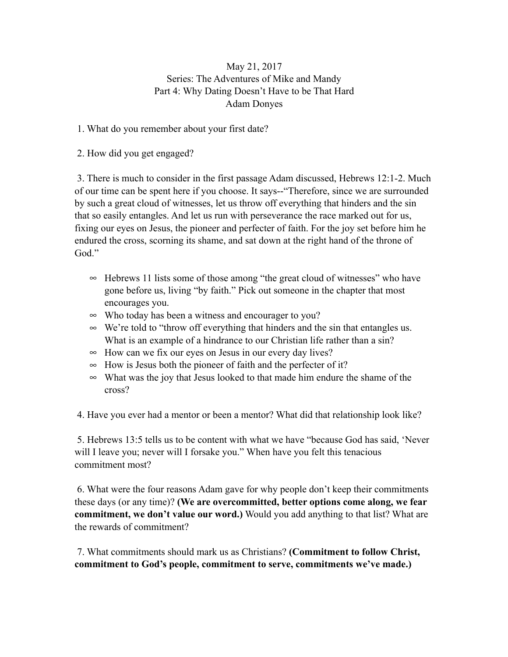## May 21, 2017 Series: The Adventures of Mike and Mandy Part 4: Why Dating Doesn't Have to be That Hard Adam Donyes

1. What do you remember about your first date?

2. How did you get engaged?

 3. There is much to consider in the first passage Adam discussed, Hebrews 12:1-2. Much of our time can be spent here if you choose. It says--"Therefore, since we are surrounded by such a great cloud of witnesses, let us throw off everything that hinders and the sin that so easily entangles. And let us run with perseverance the race marked out for us, fixing our eyes on Jesus, the pioneer and perfecter of faith. For the joy set before him he endured the cross, scorning its shame, and sat down at the right hand of the throne of God."

- ∞ Hebrews 11 lists some of those among "the great cloud of witnesses" who have gone before us, living "by faith." Pick out someone in the chapter that most encourages you.
- ∞ Who today has been a witness and encourager to you?
- ∞ We're told to "throw off everything that hinders and the sin that entangles us. What is an example of a hindrance to our Christian life rather than a sin?
- ∞ How can we fix our eyes on Jesus in our every day lives?
- ∞ How is Jesus both the pioneer of faith and the perfecter of it?
- ∞ What was the joy that Jesus looked to that made him endure the shame of the cross?

4. Have you ever had a mentor or been a mentor? What did that relationship look like?

 5. Hebrews 13:5 tells us to be content with what we have "because God has said, 'Never will I leave you; never will I forsake you." When have you felt this tenacious commitment most?

 6. What were the four reasons Adam gave for why people don't keep their commitments these days (or any time)? **(We are overcommitted, better options come along, we fear commitment, we don't value our word.)** Would you add anything to that list? What are the rewards of commitment?

 7. What commitments should mark us as Christians? **(Commitment to follow Christ, commitment to God's people, commitment to serve, commitments we've made.)**